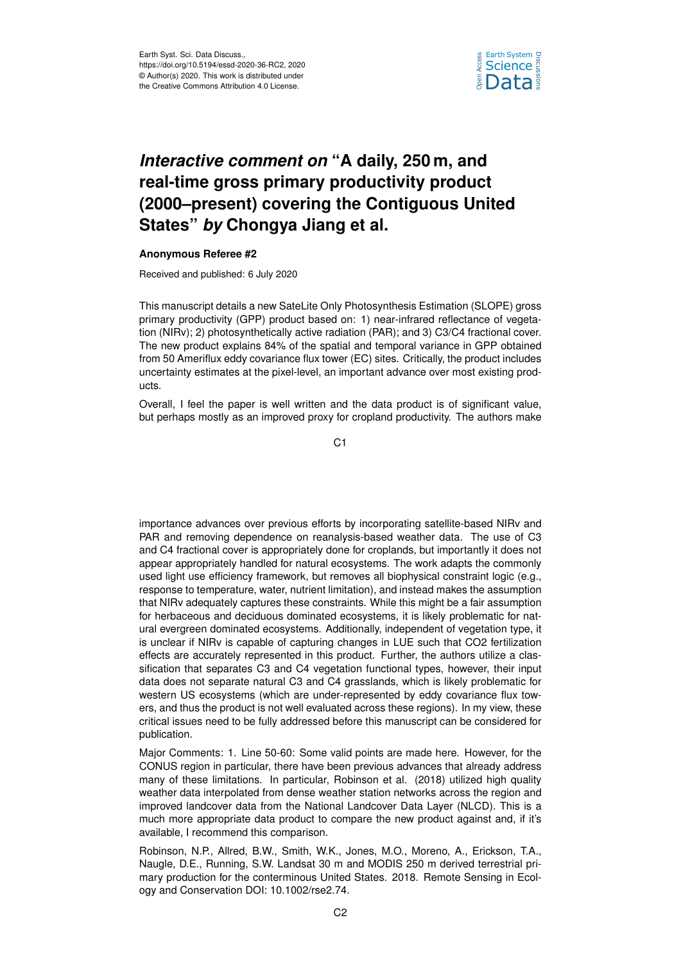

## *Interactive comment on* **"A daily, 250 m, and real-time gross primary productivity product (2000–present) covering the Contiguous United States"** *by* **Chongya Jiang et al.**

## **Anonymous Referee #2**

Received and published: 6 July 2020

This manuscript details a new SateLite Only Photosynthesis Estimation (SLOPE) gross primary productivity (GPP) product based on: 1) near-infrared reflectance of vegetation (NIRv); 2) photosynthetically active radiation (PAR); and 3) C3/C4 fractional cover. The new product explains 84% of the spatial and temporal variance in GPP obtained from 50 Ameriflux eddy covariance flux tower (EC) sites. Critically, the product includes uncertainty estimates at the pixel-level, an important advance over most existing products.

Overall, I feel the paper is well written and the data product is of significant value, but perhaps mostly as an improved proxy for cropland productivity. The authors make

 $C<sub>1</sub>$ 

importance advances over previous efforts by incorporating satellite-based NIRv and PAR and removing dependence on reanalysis-based weather data. The use of C3 and C4 fractional cover is appropriately done for croplands, but importantly it does not appear appropriately handled for natural ecosystems. The work adapts the commonly used light use efficiency framework, but removes all biophysical constraint logic (e.g., response to temperature, water, nutrient limitation), and instead makes the assumption that NIRv adequately captures these constraints. While this might be a fair assumption for herbaceous and deciduous dominated ecosystems, it is likely problematic for natural evergreen dominated ecosystems. Additionally, independent of vegetation type, it is unclear if NIRv is capable of capturing changes in LUE such that CO2 fertilization effects are accurately represented in this product. Further, the authors utilize a classification that separates C3 and C4 vegetation functional types, however, their input data does not separate natural C3 and C4 grasslands, which is likely problematic for western US ecosystems (which are under-represented by eddy covariance flux towers, and thus the product is not well evaluated across these regions). In my view, these critical issues need to be fully addressed before this manuscript can be considered for publication.

Major Comments: 1. Line 50-60: Some valid points are made here. However, for the CONUS region in particular, there have been previous advances that already address many of these limitations. In particular, Robinson et al. (2018) utilized high quality weather data interpolated from dense weather station networks across the region and improved landcover data from the National Landcover Data Layer (NLCD). This is a much more appropriate data product to compare the new product against and, if it's available, I recommend this comparison.

Robinson, N.P., Allred, B.W., Smith, W.K., Jones, M.O., Moreno, A., Erickson, T.A., Naugle, D.E., Running, S.W. Landsat 30 m and MODIS 250 m derived terrestrial primary production for the conterminous United States. 2018. Remote Sensing in Ecology and Conservation DOI: 10.1002/rse2.74.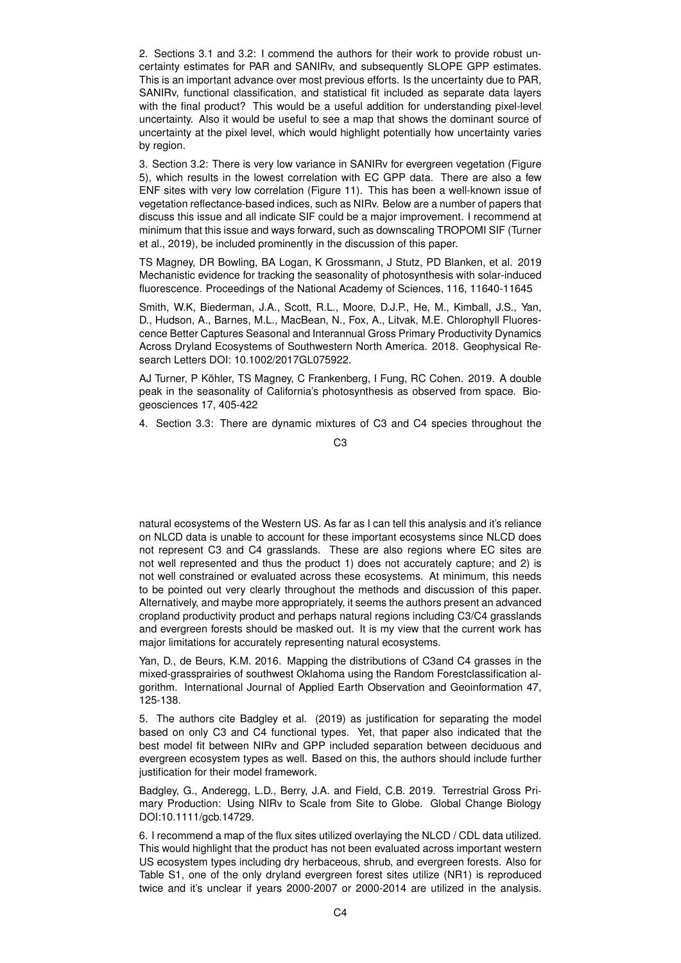2. Sections 3.1 and 3.2: I commend the authors for their work to provide robust uncertainty estimates for PAR and SANIRv, and subsequently SLOPE GPP estimates. This is an important advance over most previous efforts. Is the uncertainty due to PAR, SANIRv, functional classification, and statistical fit included as separate data layers with the final product? This would be a useful addition for understanding pixel-level uncertainty. Also it would be useful to see a map that shows the dominant source of uncertainty at the pixel level, which would highlight potentially how uncertainty varies by region.

3. Section 3.2: There is very low variance in SANIRv for evergreen vegetation (Figure 5), which results in the lowest correlation with EC GPP data. There are also a few ENF sites with very low correlation (Figure 11). This has been a well-known issue of vegetation reflectance-based indices, such as NIRv. Below are a number of papers that discuss this issue and all indicate SIF could be a major improvement. I recommend at minimum that this issue and ways forward, such as downscaling TROPOMI SIF (Turner et al., 2019), be included prominently in the discussion of this paper.

TS Magney, DR Bowling, BA Logan, K Grossmann, J Stutz, PD Blanken, et al. 2019 Mechanistic evidence for tracking the seasonality of photosynthesis with solar-induced fluorescence. Proceedings of the National Academy of Sciences, 116, 11640-11645

Smith, W.K, Biederman, J.A., Scott, R.L., Moore, D.J.P., He, M., Kimball, J.S., Yan, D., Hudson, A., Barnes, M.L., MacBean, N., Fox, A., Litvak, M.E. Chlorophyll Fluorescence Better Captures Seasonal and Interannual Gross Primary Productivity Dynamics Across Dryland Ecosystems of Southwestern North America. 2018. Geophysical Research Letters DOI: 10.1002/2017GL075922.

AJ Turner, P Köhler, TS Magney, C Frankenberg, I Fung, RC Cohen. 2019. A double peak in the seasonality of California's photosynthesis as observed from space. Biogeosciences 17, 405-422

4. Section 3.3: There are dynamic mixtures of C3 and C4 species throughout the

C3

natural ecosystems of the Western US. As far as I can tell this analysis and it's reliance on NLCD data is unable to account for these important ecosystems since NLCD does not represent C3 and C4 grasslands. These are also regions where EC sites are not well represented and thus the product 1) does not accurately capture; and 2) is not well constrained or evaluated across these ecosystems. At minimum, this needs to be pointed out very clearly throughout the methods and discussion of this paper. Alternatively, and maybe more appropriately, it seems the authors present an advanced cropland productivity product and perhaps natural regions including C3/C4 grasslands and evergreen forests should be masked out. It is my view that the current work has major limitations for accurately representing natural ecosystems.

Yan, D., de Beurs, K.M. 2016. Mapping the distributions of C3and C4 grasses in the mixed-grassprairies of southwest Oklahoma using the Random Forestclassification algorithm. International Journal of Applied Earth Observation and Geoinformation 47, 125-138.

5. The authors cite Badgley et al. (2019) as justification for separating the model based on only C3 and C4 functional types. Yet, that paper also indicated that the best model fit between NIRv and GPP included separation between deciduous and evergreen ecosystem types as well. Based on this, the authors should include further justification for their model framework.

Badgley, G., Anderegg, L.D., Berry, J.A. and Field, C.B. 2019. Terrestrial Gross Primary Production: Using NIRv to Scale from Site to Globe. Global Change Biology DOI:10.1111/gcb.14729.

6. I recommend a map of the flux sites utilized overlaying the NLCD / CDL data utilized. This would highlight that the product has not been evaluated across important western US ecosystem types including dry herbaceous, shrub, and evergreen forests. Also for Table S1, one of the only dryland evergreen forest sites utilize (NR1) is reproduced twice and it's unclear if years 2000-2007 or 2000-2014 are utilized in the analysis.